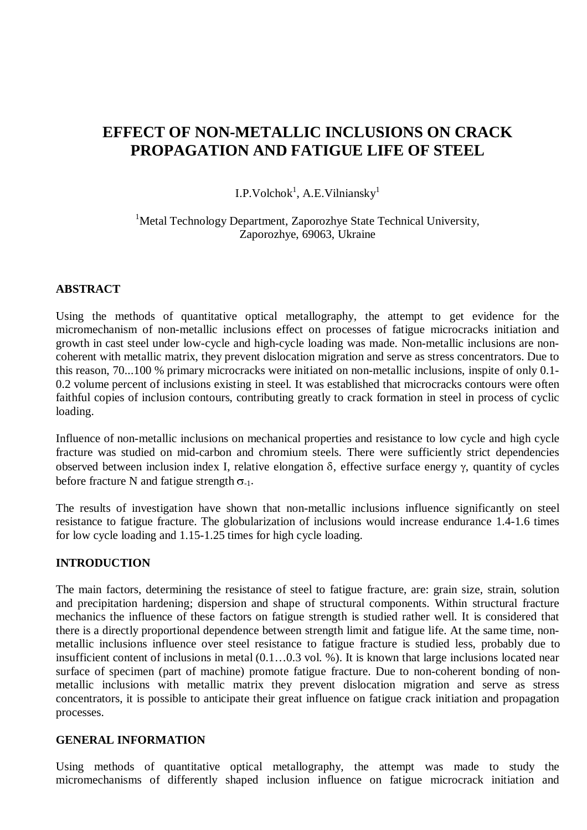# **EFFECT OF NON-METALLIC INCLUSIONS ON CRACK PROPAGATION AND FATIGUE LIFE OF STEEL**

I.P.Volchok<sup>1</sup>, A.E.Vilniansky<sup>1</sup>

<sup>1</sup>Metal Technology Department, Zaporozhye State Technical University, Zaporozhye, 69063, Ukraine

## **ABSTRACT**

Using the methods of quantitative optical metallography, the attempt to get evidence for the micromechanism of non-metallic inclusions effect on processes of fatigue microcracks initiation and growth in cast steel under low-cycle and high-cycle loading was made. Non-metallic inclusions are noncoherent with metallic matrix, they prevent dislocation migration and serve as stress concentrators. Due to this reason, 70...100 % primary microcracks were initiated on non-metallic inclusions, inspite of only 0.1- 0.2 volume percent of inclusions existing in steel. It was established that microcracks contours were often faithful copies of inclusion contours, contributing greatly to crack formation in steel in process of cyclic loading.

Influence of non-metallic inclusions on mechanical properties and resistance to low cycle and high cycle fracture was studied on mid-carbon and chromium steels. There were sufficiently strict dependencies observed between inclusion index I, relative elongation  $\delta$ , effective surface energy  $\gamma$ , quantity of cycles before fracture N and fatigue strength  $\sigma_{-1}$ .

The results of investigation have shown that non-metallic inclusions influence significantly on steel resistance to fatigue fracture. The globularization of inclusions would increase endurance 1.4-1.6 times for low cycle loading and 1.15-1.25 times for high cycle loading.

## **INTRODUCTION**

The main factors, determining the resistance of steel to fatigue fracture, are: grain size, strain, solution and precipitation hardening; dispersion and shape of structural components. Within structural fracture mechanics the influence of these factors on fatigue strength is studied rather well. It is considered that there is a directly proportional dependence between strength limit and fatigue life. At the same time, nonmetallic inclusions influence over steel resistance to fatigue fracture is studied less, probably due to insufficient content of inclusions in metal (0.1…0.3 vol. %). It is known that large inclusions located near surface of specimen (part of machine) promote fatigue fracture. Due to non-coherent bonding of nonmetallic inclusions with metallic matrix they prevent dislocation migration and serve as stress concentrators, it is possible to anticipate their great influence on fatigue crack initiation and propagation processes.

### **GENERAL INFORMATION**

Using methods of quantitative optical metallography, the attempt was made to study the micromechanisms of differently shaped inclusion influence on fatigue microcrack initiation and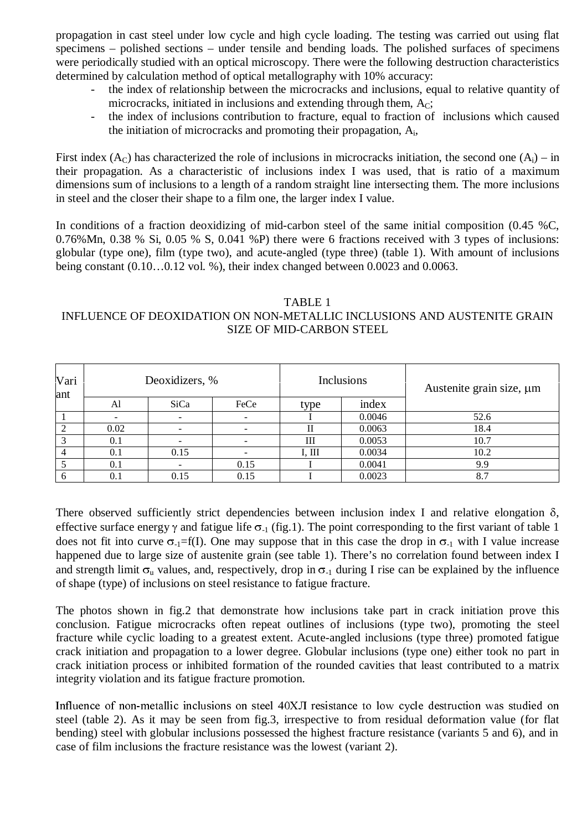propagation in cast steel under low cycle and high cycle loading. The testing was carried out using flat specimens – polished sections – under tensile and bending loads. The polished surfaces of specimens were periodically studied with an optical microscopy. There were the following destruction characteristics determined by calculation method of optical metallography with 10% accuracy:

- the index of relationship between the microcracks and inclusions, equal to relative quantity of microcracks, initiated in inclusions and extending through them,  $A<sub>C</sub>$ ;
- the index of inclusions contribution to fracture, equal to fraction of inclusions which caused the initiation of microcracks and promoting their propagation, Ai,

First index  $(A<sub>C</sub>)$  has characterized the role of inclusions in microcracks initiation, the second one  $(A<sub>i</sub>)$  – in their propagation. As a characteristic of inclusions index I was used, that is ratio of a maximum dimensions sum of inclusions to a length of a random straight line intersecting them. The more inclusions in steel and the closer their shape to a film one, the larger index I value.

In conditions of a fraction deoxidizing of mid-carbon steel of the same initial composition (0.45 %C, 0.76%Mn, 0.38 % Si, 0.05 % S, 0.041 %P) there were 6 fractions received with 3 types of inclusions: globular (type one), film (type two), and acute-angled (type three) (table 1). With amount of inclusions being constant (0.10…0.12 vol. %), their index changed between 0.0023 and 0.0063.

### TABLE 1 INFLUENCE OF DEOXIDATION ON NON-METALLIC INCLUSIONS AND AUSTENITE GRAIN SIZE OF MID-CARBON STEEL

| Vari<br>ant |      | Deoxidizers, %           |                          |        | Inclusions | Austenite grain size, µm |
|-------------|------|--------------------------|--------------------------|--------|------------|--------------------------|
|             | Al   | SiCa                     | FeCe                     | type   | index      |                          |
|             |      | $\overline{\phantom{0}}$ | $\overline{\phantom{a}}$ |        | 0.0046     | 52.6                     |
| ∍           | 0.02 |                          |                          |        | 0.0063     | 18.4                     |
|             | 0.1  |                          |                          | Ш      | 0.0053     | 10.7                     |
|             | 0.1  | 0.15                     |                          | I, III | 0.0034     | 10.2                     |
|             | 0.1  |                          | 0.15                     |        | 0.0041     | 9.9                      |
|             | 0.1  | 0.15                     | 0.15                     |        | 0.0023     | 8.7                      |

There observed sufficiently strict dependencies between inclusion index I and relative elongation  $\delta$ . effective surface energy  $\gamma$  and fatigue life  $\sigma_{-1}$  (fig.1). The point corresponding to the first variant of table 1 does not fit into curve  $\sigma_{-1}$ =f(I). One may suppose that in this case the drop in  $\sigma_{-1}$  with I value increase happened due to large size of austenite grain (see table 1). There's no correlation found between index I and strength limit  $\sigma_{\theta}$  values, and, respectively, drop in  $\sigma_{\theta}$  during I rise can be explained by the influence of shape (type) of inclusions on steel resistance to fatigue fracture.

The photos shown in fig.2 that demonstrate how inclusions take part in crack initiation prove this conclusion. Fatigue microcracks often repeat outlines of inclusions (type two), promoting the steel fracture while cyclic loading to a greatest extent. Acute-angled inclusions (type three) promoted fatigue crack initiation and propagation to a lower degree. Globular inclusions (type one) either took no part in crack initiation process or inhibited formation of the rounded cavities that least contributed to a matrix integrity violation and its fatigue fracture promotion.

Influence of non-metallic inclusions on steel 40XJI resistance to low cycle destruction was studied on steel (table 2). As it may be seen from fig.3, irrespective to from residual deformation value (for flat bending) steel with globular inclusions possessed the highest fracture resistance (variants 5 and 6), and in case of film inclusions the fracture resistance was the lowest (variant 2).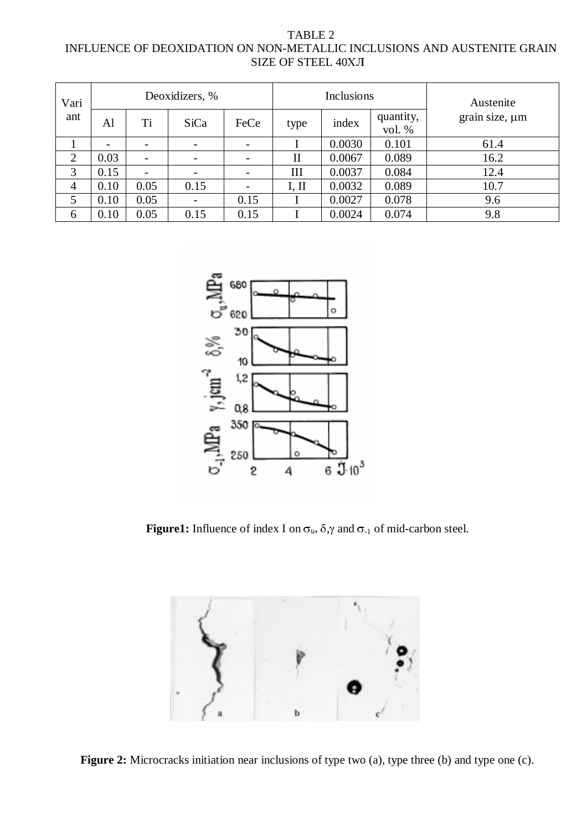| TABLE 2                                                                 |
|-------------------------------------------------------------------------|
| INFLUENCE OF DEOXIDATION ON NON-METALLIC INCLUSIONS AND AUSTENITE GRAIN |
| SIZE OF STEEL 40XJI                                                     |

| Vari<br>ant    | Deoxidizers, % |                          |                          |                          |              | <b>Inclusions</b> |                     | Austenite           |
|----------------|----------------|--------------------------|--------------------------|--------------------------|--------------|-------------------|---------------------|---------------------|
|                | Al             | Ti                       | SiCa                     | FeCe                     | type         | index             | quantity,<br>vol. % | grain size, $\mu$ m |
|                |                | $\overline{\phantom{a}}$ | $\overline{\phantom{a}}$ | $\overline{\phantom{a}}$ |              | 0.0030            | 0.101               | 61.4                |
| $\overline{2}$ | 0.03           | $\overline{\phantom{a}}$ |                          | -                        | $\mathbf{I}$ | 0.0067            | 0.089               | 16.2                |
| 3              | 0.15           | $\overline{\phantom{0}}$ | $\overline{\phantom{a}}$ | $\overline{a}$           | Ш            | 0.0037            | 0.084               | 12.4                |
| 4              | 0.10           | 0.05                     | 0.15                     |                          | I, II        | 0.0032            | 0.089               | 10.7                |
| 5              | 0.10           | 0.05                     | $\overline{\phantom{a}}$ | 0.15                     |              | 0.0027            | 0.078               | 9.6                 |
| 6              | 0.10           | 0.05                     | 0.15                     | 0.15                     |              | 0.0024            | 0.074               | 9.8                 |



**Figure1:** Influence of index I on  $\sigma_u$ ,  $\delta$ ,  $\gamma$  and  $\sigma_{-1}$  of mid-carbon steel.



Figure 2: Microcracks initiation near inclusions of type two (a), type three (b) and type one (c).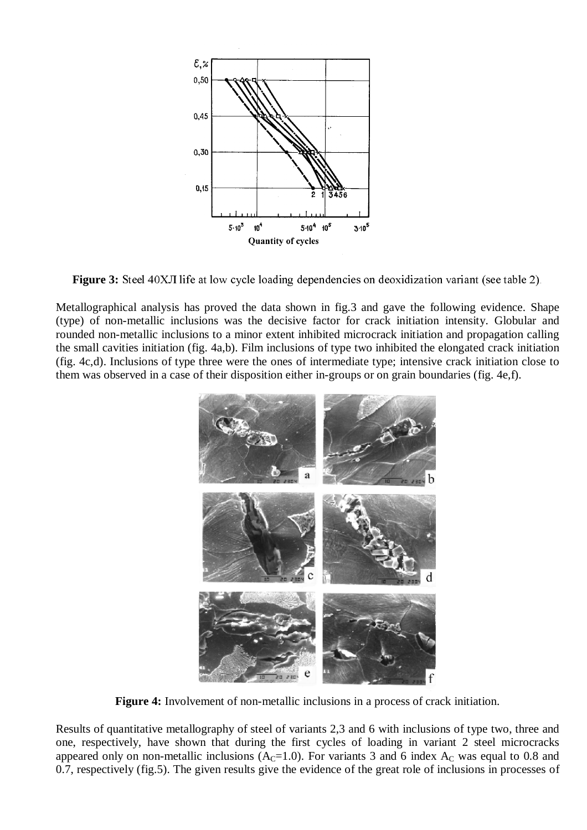

**Figure 3:** Steel 40XJ life at low cycle loading dependencies on deoxidization variant (see table 2).

Metallographical analysis has proved the data shown in fig.3 and gave the following evidence. Shape (type) of non-metallic inclusions was the decisive factor for crack initiation intensity. Globular and rounded non-metallic inclusions to a minor extent inhibited microcrack initiation and propagation calling the small cavities initiation (fig. 4a,b). Film inclusions of type two inhibited the elongated crack initiation (fig. 4c,d). Inclusions of type three were the ones of intermediate type; intensive crack initiation close to them was observed in a case of their disposition either in-groups or on grain boundaries (fig. 4e,f).



**Figure 4:** Involvement of non-metallic inclusions in a process of crack initiation.

Results of quantitative metallography of steel of variants 2,3 and 6 with inclusions of type two, three and one, respectively, have shown that during the first cycles of loading in variant 2 steel microcracks appeared only on non-metallic inclusions  $(A<sub>C</sub>=1.0)$ . For variants 3 and 6 index  $A<sub>C</sub>$  was equal to 0.8 and 0.7, respectively (fig.5). The given results give the evidence of the great role of inclusions in processes of